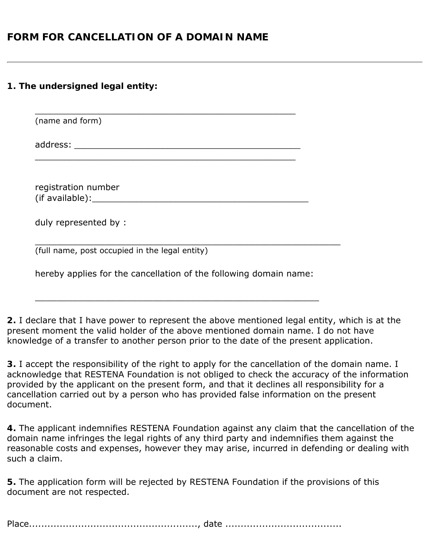## **FORM FOR CANCELLATION OF A DOMAIN NAME**

## **1. The undersigned legal entity:**

\_\_\_\_\_\_\_\_\_\_\_\_\_\_\_\_\_\_\_\_\_\_\_\_\_\_\_\_\_\_\_\_\_\_\_\_\_\_\_\_\_\_\_\_\_\_\_\_\_\_\_\_\_ (name and form) address: \_\_\_\_\_\_\_\_\_\_\_\_\_\_\_\_\_\_\_\_\_\_\_\_\_\_\_\_\_\_\_\_\_\_\_\_\_\_\_\_\_\_\_\_\_\_ \_\_\_\_\_\_\_\_\_\_\_\_\_\_\_\_\_\_\_\_\_\_\_\_\_\_\_\_\_\_\_\_\_\_\_\_\_\_\_\_\_\_\_\_\_\_\_\_\_\_\_\_\_ registration number (if available): which is a set of the set of the set of the set of the set of the set of the set of the set of the set of the set of the set of the set of the set of the set of the set of the set of the set of the set of t duly represented by : \_\_\_\_\_\_\_\_\_\_\_\_\_\_\_\_\_\_\_\_\_\_\_\_\_\_\_\_\_\_\_\_\_\_\_\_\_\_\_\_\_\_\_\_\_\_\_\_\_\_\_\_\_\_\_\_\_ (full name, post occupied in the legal entity)

hereby applies for the cancellation of the following domain name:

\_\_\_\_\_\_\_\_\_\_\_\_\_\_\_\_\_\_\_\_\_\_\_\_\_\_\_\_\_\_\_\_\_\_\_\_\_\_\_\_\_\_\_\_\_\_\_\_\_\_\_\_\_

**2.** I declare that I have power to represent the above mentioned legal entity, which is at the present moment the valid holder of the above mentioned domain name. I do not have knowledge of a transfer to another person prior to the date of the present application.

**3.** I accept the responsibility of the right to apply for the cancellation of the domain name. I acknowledge that RESTENA Foundation is not obliged to check the accuracy of the information provided by the applicant on the present form, and that it declines all responsibility for a cancellation carried out by a person who has provided false information on the present document.

**4.** The applicant indemnifies RESTENA Foundation against any claim that the cancellation of the domain name infringes the legal rights of any third party and indemnifies them against the reasonable costs and expenses, however they may arise, incurred in defending or dealing with such a claim.

**5.** The application form will be rejected by RESTENA Foundation if the provisions of this document are not respected.

Place......................................................., date ......................................